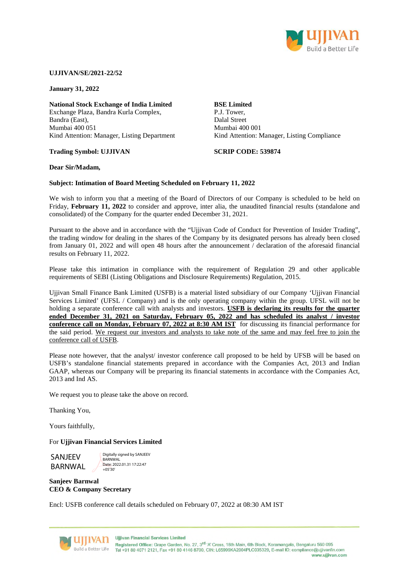

#### **UJJIVAN/SE/2021-22/52**

**January 31, 2022** 

**National Stock Exchange of India Limited**  Exchange Plaza, Bandra Kurla Complex, Bandra (East), Mumbai 400 051 Kind Attention: Manager, Listing Department

#### **Trading Symbol: UJJIVAN**

## **BSE Limited**  P.J. Tower, Dalal Street Mumbai 400 001 Kind Attention: Manager, Listing Compliance

**SCRIP CODE: 539874**

#### **Dear Sir/Madam,**

#### **Subject: Intimation of Board Meeting Scheduled on February 11, 2022**

We wish to inform you that a meeting of the Board of Directors of our Company is scheduled to be held on Friday, **February 11, 2022** to consider and approve, inter alia, the unaudited financial results (standalone and consolidated) of the Company for the quarter ended December 31, 2021.

Pursuant to the above and in accordance with the "Ujjivan Code of Conduct for Prevention of Insider Trading", the trading window for dealing in the shares of the Company by its designated persons has already been closed from January 01, 2022 and will open 48 hours after the announcement / declaration of the aforesaid financial results on February 11, 2022.

Please take this intimation in compliance with the requirement of Regulation 29 and other applicable requirements of SEBI (Listing Obligations and Disclosure Requirements) Regulation, 2015.

Ujjivan Small Finance Bank Limited (USFB) is a material listed subsidiary of our Company 'Ujjivan Financial Services Limited' (UFSL / Company) and is the only operating company within the group. UFSL will not be holding a separate conference call with analysts and investors. **USFB is declaring its results for the quarter**  ended December 31, 2021 on Saturday, February 05, 2022 and has scheduled its analyst / investor **conference call on Monday, February 07, 2022 at 8:30 AM IST** for discussing its financial performance for the said period. We request our investors and analysts to take note of the same and may feel free to join the conference call of USFB.

Please note however, that the analyst/ investor conference call proposed to be held by UFSB will be based on USFB's standalone financial statements prepared in accordance with the Companies Act, 2013 and Indian GAAP, whereas our Company will be preparing its financial statements in accordance with the Companies Act, 2013 and Ind AS.

We request you to please take the above on record.

Thanking You,

Yours faithfully,

#### For **Ujjivan Financial Services Limited**

SANJEEV BARNWAL

Digitally signed by SANJEEV **BARNWAL** Date: 2022.01.31 17:22:47  $+05'30$ 

## **Sanjeev Barnwal CEO & Company Secretary**

Encl: USFB conference call details scheduled on February 07, 2022 at 08:30 AM IST



**Ujjivan Financial Services Limited** Registered Office: Grape Garden, No. 27, 3<sup>rd</sup> 'A' Cross, 18th Main, 6th Block, Koramangala, Bengaluru 560 095 Build a Better Life Tel +91 80 4071 2121, Fax +91 80 4146 8700, CIN: L65999KA2004PLC035329, E-mail ID: compliance@ujjivanfin.com www.ujjivan.com